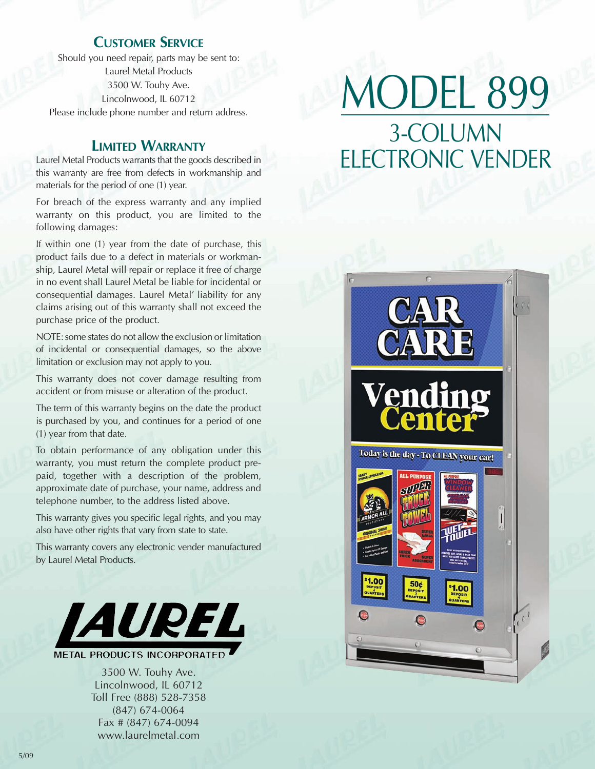## **CUSTOMER SERVICE**

Should you need repair, parts may be sent to: Laurel Metal Products 3500 W. Touhy Ave. Lincolnwood, IL 60712 Please include phone number and return address.

#### **LIMITED WARRANTY**

Laurel Metal Products warrants that the goods described in this warranty are free from defects in workmanship and materials for the period of one (1) year.

For breach of the express warranty and any implied warranty on this product, you are limited to the following damages:

If within one (1) year from the date of purchase, this product fails due to a defect in materials or workmanship, Laurel Metal will repair or replace it free of charge in no event shall Laurel Metal be liable for incidental or consequential damages. Laurel Metal' liability for any claims arising out of this warranty shall not exceed the purchase price of the product.

NOTE: some states do not allow the exclusion or limitation of incidental or consequential damages, so the above limitation or exclusion may not apply to you.

This warranty does not cover damage resulting from accident or from misuse or alteration of the product.

The term of this warranty begins on the date the product is purchased by you, and continues for a period of one (1) year from that date.

To obtain performance of any obligation under this warranty, you must return the complete product prepaid, together with a description of the problem, approximate date of purchase, your name, address and telephone number, to the address listed above.

This warranty gives you specific legal rights, and you may also have other rights that vary from state to state.

This warranty covers any electronic vender manufactured by Laurel Metal Products.



**METAL PRODUCTS INCORPORATED** 

3500 W. Touhy Ave. Lincolnwood, IL 60712 Toll Free (888) 528-7358 (847) 674-0064 Fax # (847) 674-0094 www.laurelmetal.com

# MODEL 899 3-COLUMN ELECTRONIC VENDER

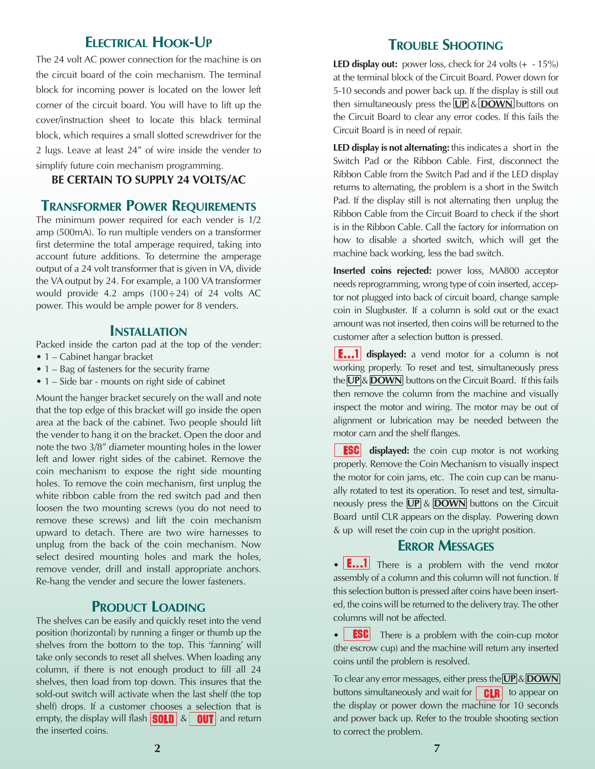### **ELECTRICAL HOOK-UP**

The 24 volt AC power connection for the machine is on the circuit board of the coin mechanism. The terminal block for incoming power is located on the lower left corner of the circuit board. You will have to lift up the cover/instruction sheet to locate this black terminal block, which requires a small slotted screwdriver for the 2 lugs. Leave at least 24" of wire inside the vender to simplify future coin mechanism programming.

#### **BE CERTAIN TO SUPPLY 24 VOLTS/AC**

#### **TRANSFORMER POWER REQUIREMENTS**

The minimum power required for each vender is 1/2 amp (500mA). To run multiple venders on a transformer first determine the total amperage required, taking into account future additions. To determine the amperage output of a 24 volt transformer that is given in VA, divide the VA output by 24. For example, a 100 VA transformer would provide 4.2 amps  $(100 \div 24)$  of 24 volts AC power. This would be ample power for 8 venders.

#### **INSTALLATION**

Packed inside the carton pad at the top of the vender:

- 1 Cabinet hangar bracket
- 1 Bag of fasteners for the security frame
- 1 Side bar mounts on right side of cabinet

Mount the hanger bracket securely on the wall and note that the top edge of this bracket will go inside the open area at the back of the cabinet. Two people should lift the vender to hang it on the bracket. Open the door and note the two 3/8" diameter mounting holes in the lower left and lower right sides of the cabinet. Remove the coin mechanism to expose the right side mounting holes. To remove the coin mechanism, first unplug the white ribbon cable from the red switch pad and then loosen the two mounting screws (you do not need to remove these screws) and lift the coin mechanism upward to detach. There are two wire harnesses to unplug from the back of the coin mechanism. Now select desired mounting holes and mark the holes, remove vender, drill and install appropriate anchors. Re-hang the vender and secure the lower fasteners.

#### **PRODUCT LOADING**

The shelves can be easily and quickly reset into the vend position (horizontal) by running a finger or thumb up the shelves from the bottom to the top. This 'fanning' will take only seconds to reset all shelves. When loading any column, if there is not enough product to fill all 24 shelves, then load from top down. This insures that the sold-out switch will activate when the last shelf (the top shelf) drops. If a customer chooses a selection that is empty, the display will flash  $\left|\frac{\text{SOLD}}{\text{A}}\right| \&$  and return the inserted coins.

## **TROUBLE SHOOTING**

**LED display out:** power loss, check for 24 volts (+ - 15%) at the terminal block of the Circuit Board. Power down for 5-10 seconds and power back up. If the display is still out then simultaneously press the **UP** & **DOWN** buttons on the Circuit Board to clear any error codes. If this fails the Circuit Board is in need of repair.

**LED display is not alternating:** this indicates a short in the Switch Pad or the Ribbon Cable. First, disconnect the Ribbon Cable from the Switch Pad and if the LED display returns to alternating, the problem is a short in the Switch Pad. If the display still is not alternating then unplug the Ribbon Cable from the Circuit Board to check if the short is in the Ribbon Cable. Call the factory for information on how to disable a shorted switch, which will get the machine back working, less the bad switch.

**Inserted coins rejected:** power loss, MA800 acceptor needs reprogramming, wrong type of coin inserted, acceptor not plugged into back of circuit board, change sample coin in Slugbuster. If a column is sold out or the exact amount was not inserted, then coins will be returned to the customer after a selection button is pressed.

**E...1** displayed: a vend motor for a column is not working properly. To reset and test, simultaneously press the **UP** & **DOWN** buttons on the Circuit Board. If this fails then remove the column from the machine and visually inspect the motor and wiring. The motor may be out of alignment or lubrication may be needed between the motor cam and the shelf flanges.

i esci i displayed: the coin cup motor is not working properly. Remove the Coin Mechanism to visually inspect the motor for coin jams, etc. The coin cup can be manually rotated to test its operation. To reset and test, simultaneously press the **UP** & **DOWN** buttons on the Circuit Board until CLR appears on the display. Powering down & up will reset the coin cup in the upright position.

#### **ERROR MESSAGES**

• **E...1** There is a problem with the vend motor assembly of a column and this column will not function. If this selection button is pressed after coins have been inserted, the coins will be returned to the delivery tray. The other columns will not be affected.

• **ESC** There is a problem with the coin-cup motor (the escrow cup) and the machine will return any inserted coins until the problem is resolved.

To clear any error messages, either press the **UP** & **DOWN** buttons simultaneously and wait for to appear on the display or power down the machine for 10 seconds and power back up. Refer to the trouble shooting section to correct the problem.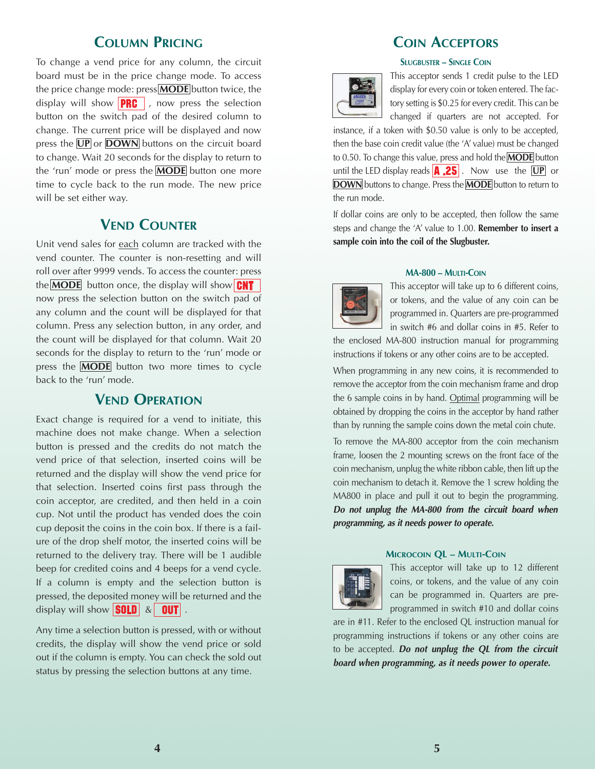### **COLUMN PRICING**

To change a vend price for any column, the circuit board must be in the price change mode. To access the price change mode: press **MODE** button twice, the display will show  $\sqrt{PRG}$ , now press the selection button on the switch pad of the desired column to change. The current price will be displayed and now press the **UP** or **DOWN** buttons on the circuit board to change. Wait 20 seconds for the display to return to the 'run' mode or press the **MODE** button one more time to cycle back to the run mode. The new price will be set either way.

## **VEND COUNTER**

Unit vend sales for each column are tracked with the vend counter. The counter is non-resetting and will roll over after 9999 vends. To access the counter: press the **MODE** button once, the display will show **CNT** now press the selection button on the switch pad of any column and the count will be displayed for that column. Press any selection button, in any order, and the count will be displayed for that column. Wait 20 seconds for the display to return to the 'run' mode or press the **MODE** button two more times to cycle back to the 'run' mode.

### **VEND OPERATION**

Exact change is required for a vend to initiate, this machine does not make change. When a selection button is pressed and the credits do not match the vend price of that selection, inserted coins will be returned and the display will show the vend price for that selection. Inserted coins first pass through the coin acceptor, are credited, and then held in a coin cup. Not until the product has vended does the coin cup deposit the coins in the coin box. If there is a failure of the drop shelf motor, the inserted coins will be returned to the delivery tray. There will be 1 audible beep for credited coins and 4 beeps for a vend cycle. If a column is empty and the selection button is pressed, the deposited money will be returned and the display will show  $\boxed{\textbf{SOLD}}$  &  $\boxed{\textbf{OUT}}$ .

Any time a selection button is pressed, with or without credits, the display will show the vend price or sold out if the column is empty. You can check the sold out status by pressing the selection buttons at any time.

## **COIN ACCEPTORS**

#### **SLUGBUSTER – SINGLE COIN**



This acceptor sends 1 credit pulse to the LED display for every coin or token entered. The factory setting is \$0.25 for every credit. This can be changed if quarters are not accepted. For

instance, if a token with \$0.50 value is only to be accepted, then the base coin credit value (the 'A' value) must be changed to 0.50. To change this value, press and hold the **MODE** button until the LED display reads **A.25**. Now use the **UP** or **DOWN** buttons to change. Press the **MODE** button to return to the run mode.

If dollar coins are only to be accepted, then follow the same steps and change the 'A' value to 1.00. **Remember to insert a sample coin into the coil of the Slugbuster.**

#### **MA-800 – MULTI-COIN**



This acceptor will take up to 6 different coins, or tokens, and the value of any coin can be programmed in. Quarters are pre-programmed in switch #6 and dollar coins in #5. Refer to

the enclosed MA-800 instruction manual for programming instructions if tokens or any other coins are to be accepted.

When programming in any new coins, it is recommended to remove the acceptor from the coin mechanism frame and drop the 6 sample coins in by hand. Optimal programming will be obtained by dropping the coins in the acceptor by hand rather than by running the sample coins down the metal coin chute.

To remove the MA-800 acceptor from the coin mechanism frame, loosen the 2 mounting screws on the front face of the coin mechanism, unplug the white ribbon cable, then lift up the coin mechanism to detach it. Remove the 1 screw holding the MA800 in place and pull it out to begin the programming. **Do not unplug the MA-800 from the circuit board when programming, as it needs power to operate.**



**MICROCOIN QL – MULTI-COIN**

This acceptor will take up to 12 different coins, or tokens, and the value of any coin can be programmed in. Quarters are preprogrammed in switch #10 and dollar coins

are in #11. Refer to the enclosed QL instruction manual for programming instructions if tokens or any other coins are to be accepted. **Do not unplug the QL from the circuit board when programming, as it needs power to operate.**